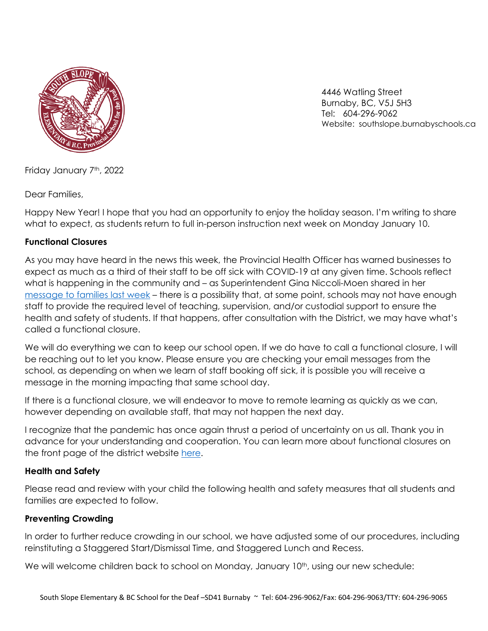

 4446 Watling Street Burnaby, BC, V5J 5H3 Tel: 604-296-9062 Website: southslope.burnabyschools.ca

Friday January 7<sup>th</sup>, 2022

Dear Families,

Happy New Year! I hope that you had an opportunity to enjoy the holiday season. I'm writing to share what to expect, as students return to full in-person instruction next week on Monday January 10.

### **Functional Closures**

As you may have heard in the news this week, the Provincial Health Officer has warned businesses to expect as much as a third of their staff to be off sick with COVID-19 at any given time. Schools reflect what is happening in the community and – as Superintendent Gina Niccoli-Moen shared in her [message to families last week](https://burnabyschools.ca/student-return-from-winter-break-following-delay/) – there is a possibility that, at some point, schools may not have enough staff to provide the required level of teaching, supervision, and/or custodial support to ensure the health and safety of students. If that happens, after consultation with the District, we may have what's called a functional closure.

We will do everything we can to keep our school open. If we do have to call a functional closure, I will be reaching out to let you know. Please ensure you are checking your email messages from the school, as depending on when we learn of staff booking off sick, it is possible you will receive a message in the morning impacting that same school day.

If there is a functional closure, we will endeavor to move to remote learning as quickly as we can, however depending on available staff, that may not happen the next day.

I recognize that the pandemic has once again thrust a period of uncertainty on us all. Thank you in advance for your understanding and cooperation. You can learn more about functional closures on the front page of the district website [here.](https://burnabyschools.ca/)

### **Health and Safety**

Please read and review with your child the following health and safety measures that all students and families are expected to follow.

### **Preventing Crowding**

In order to further reduce crowding in our school, we have adjusted some of our procedures, including reinstituting a Staggered Start/Dismissal Time, and Staggered Lunch and Recess.

We will welcome children back to school on Monday, January 10<sup>th</sup>, using our new schedule: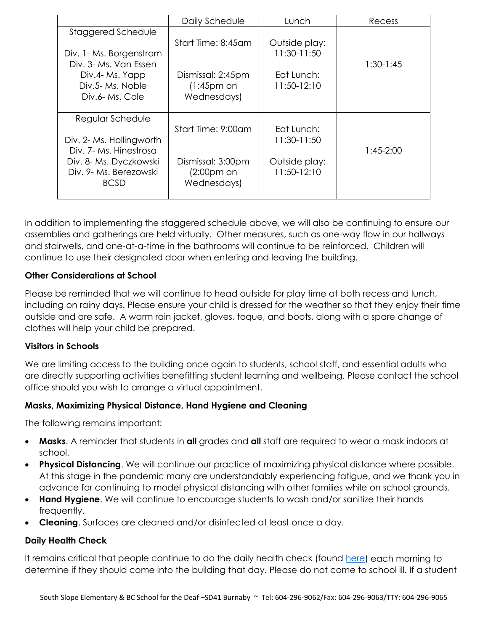|                          | Daily Schedule     | Lunch         | Recess      |
|--------------------------|--------------------|---------------|-------------|
| Staggered Schedule       |                    |               |             |
|                          | Start Time: 8:45am | Outside play: |             |
| Div. 1- Ms. Borgenstrom  |                    | 11:30-11:50   |             |
| Div. 3- Ms. Van Essen    |                    |               | $1:30-1:45$ |
| Div.4- Ms. Yapp          | Dismissal: 2:45pm  | Eat Lunch:    |             |
| Div.5- Ms. Noble         | $(1:45pm$ on       | 11:50-12:10   |             |
| Div.6- Ms. Cole          | Wednesdays)        |               |             |
|                          |                    |               |             |
| Regular Schedule         |                    |               |             |
|                          | Start Time: 9:00am | Eat Lunch:    |             |
| Div. 2- Ms. Hollingworth |                    | 11:30-11:50   |             |
| Div. 7- Ms. Hinestrosa   |                    |               | 1:45-2:00   |
| Div. 8- Ms. Dyczkowski   | Dismissal: 3:00pm  | Outside play: |             |
| Div. 9- Ms. Berezowski   | $(2:00pm$ on       | 11:50-12:10   |             |
| <b>BCSD</b>              | Wednesdays)        |               |             |
|                          |                    |               |             |

In addition to implementing the staggered schedule above, we will also be continuing to ensure our assemblies and gatherings are held virtually. Other measures, such as one-way flow in our hallways and stairwells, and one-at-a-time in the bathrooms will continue to be reinforced. Children will continue to use their designated door when entering and leaving the building.

## **Other Considerations at School**

Please be reminded that we will continue to head outside for play time at both recess and lunch, including on rainy days. Please ensure your child is dressed for the weather so that they enjoy their time outside and are safe. A warm rain jacket, gloves, toque, and boots, along with a spare change of clothes will help your child be prepared.

### **Visitors in Schools**

We are limiting access to the building once again to students, school staff, and essential adults who are directly supporting activities benefitting student learning and wellbeing. Please contact the school office should you wish to arrange a virtual appointment.

# **Masks, Maximizing Physical Distance, Hand Hygiene and Cleaning**

The following remains important:

- **Masks**. A reminder that students in **all** grades and **all** staff are required to wear a mask indoors at school.
- **Physical Distancing**. We will continue our practice of maximizing physical distance where possible. At this stage in the pandemic many are understandably experiencing fatigue, and we thank you in advance for continuing to model physical distancing with other families while on school grounds.
- **Hand Hygiene**. We will continue to encourage students to wash and/or sanitize their hands frequently.
- **Cleaning**. Surfaces are cleaned and/or disinfected at least once a day.

### **Daily Health Check**

It remains critical that people continue to do the daily health check (found [here\)](https://burnabyschools.ca/wp-content/uploads/2020/09/daily-health-check-english.pdf) each morning to determine if they should come into the building that day. Please do not come to school ill. If a student